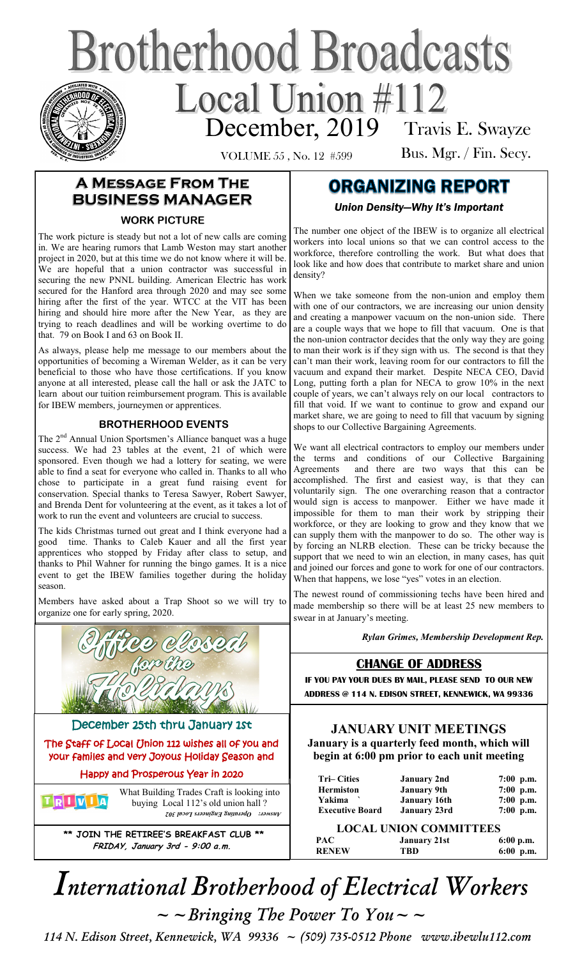# **Brotherhood Broadcasts** December, 2019 Travis E. Swayze

VOLUME 55 , No. 12 #599

Bus. Mgr. / Fin. Secy.

## **A Message From The BUSINESS MANAGER**

#### **WORK PICTURE**

The work picture is steady but not a lot of new calls are coming in. We are hearing rumors that Lamb Weston may start another project in 2020, but at this time we do not know where it will be. We are hopeful that a union contractor was successful in securing the new PNNL building. American Electric has work secured for the Hanford area through 2020 and may see some hiring after the first of the year. WTCC at the VIT has been hiring and should hire more after the New Year, as they are trying to reach deadlines and will be working overtime to do that. 79 on Book I and 63 on Book II.

As always, please help me message to our members about the opportunities of becoming a Wireman Welder, as it can be very beneficial to those who have those certifications. If you know anyone at all interested, please call the hall or ask the JATC to learn about our tuition reimbursement program. This is available for IBEW members, journeymen or apprentices.

#### **BROTHERHOOD EVENTS**

The 2<sup>nd</sup> Annual Union Sportsmen's Alliance banquet was a huge success. We had 23 tables at the event, 21 of which were sponsored. Even though we had a lottery for seating, we were able to find a seat for everyone who called in. Thanks to all who chose to participate in a great fund raising event for conservation. Special thanks to Teresa Sawyer, Robert Sawyer, and Brenda Dent for volunteering at the event, as it takes a lot of work to run the event and volunteers are crucial to success.

The kids Christmas turned out great and I think everyone had a good time. Thanks to Caleb Kauer and all the first year apprentices who stopped by Friday after class to setup, and thanks to Phil Wahner for running the bingo games. It is a nice event to get the IBEW families together during the holiday season.

Members have asked about a Trap Shoot so we will try to organize one for early spring, 2020.



**\*\* JOIN THE RETIREE'S BREAKFAST CLUB \*\* FRIDAY, January 3rd - 9:00 a.m.**

*Answer: Operating Engineers Local 302*

## **ORGANIZING REPORT**

*Union Density—Why It's Important* 

The number one object of the IBEW is to organize all electrical workers into local unions so that we can control access to the workforce, therefore controlling the work. But what does that look like and how does that contribute to market share and union density?

When we take someone from the non-union and employ them with one of our contractors, we are increasing our union density and creating a manpower vacuum on the non-union side. There are a couple ways that we hope to fill that vacuum. One is that the non-union contractor decides that the only way they are going to man their work is if they sign with us. The second is that they can't man their work, leaving room for our contractors to fill the vacuum and expand their market. Despite NECA CEO, David Long, putting forth a plan for NECA to grow 10% in the next couple of years, we can't always rely on our local contractors to fill that void. If we want to continue to grow and expand our market share, we are going to need to fill that vacuum by signing shops to our Collective Bargaining Agreements.

We want all electrical contractors to employ our members under the terms and conditions of our Collective Bargaining Agreements and there are two ways that this can be accomplished. The first and easiest way, is that they can voluntarily sign. The one overarching reason that a contractor would sign is access to manpower. Either we have made it impossible for them to man their work by stripping their workforce, or they are looking to grow and they know that we can supply them with the manpower to do so. The other way is by forcing an NLRB election. These can be tricky because the support that we need to win an election, in many cases, has quit and joined our forces and gone to work for one of our contractors. When that happens, we lose "yes" votes in an election.

The newest round of commissioning techs have been hired and made membership so there will be at least 25 new members to swear in at January's meeting.

*Rylan Grimes, Membership Development Rep.*

### **CHANGE OF ADDRESS**

**IF YOU PAY YOUR DUES BY MAIL, PLEASE SEND TO OUR NEW ADDRESS @ 114 N. EDISON STREET, KENNEWICK, WA 99336** 

#### **JANUARY UNIT MEETINGS January is a quarterly feed month, which will begin at 6:00 pm prior to each unit meeting**

| <b>Tri–Cities</b>      | <b>January 2nd</b>  | $7:00$ p.m. |  |
|------------------------|---------------------|-------------|--|
| <b>Hermiston</b>       | <b>January 9th</b>  | 7:00 p.m.   |  |
| Yakima                 | <b>January 16th</b> | 7:00 p.m.   |  |
| <b>Executive Board</b> | <b>January 23rd</b> | 7:00 p.m.   |  |

| PAC          | <b>January 21st</b> | $6:00$ p.m. |
|--------------|---------------------|-------------|
| <b>RENEW</b> | TBD                 | $6:00$ p.m. |

*International Brotherhood of Electrical Workers*   $\sim$   $\sim$  *Bringing The Power To You*  $\sim$   $\sim$ 

 *114 N. Edison Street, Kennewick, WA 99336 ~ (509) 735-0512 Phone www.ibewlu112.com*